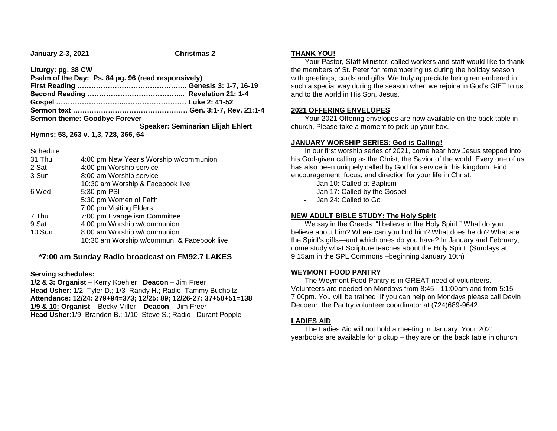**January 2-3, 2021 Christmas 2**

**Liturgy: pg. 38 CW**

| Psalm of the Day: Ps. 84 pg. 96 (read responsively) |
|-----------------------------------------------------|
|                                                     |
|                                                     |
|                                                     |
|                                                     |
|                                                     |
| Speaker: Seminarian Elijah Ehlert                   |
|                                                     |

**Hymns: 58, 263 v. 1,3, 728, 366, 64**

### Schedule

| 31 Thu | 4:00 pm New Year's Worship w/communion     |
|--------|--------------------------------------------|
| 2 Sat  | 4:00 pm Worship service                    |
| 3 Sun  | 8:00 am Worship service                    |
|        | 10:30 am Worship & Facebook live           |
| 6 Wed  | 5:30 pm PSI                                |
|        | 5:30 pm Women of Faith                     |
|        | 7:00 pm Visiting Elders                    |
| 7 Thu  | 7:00 pm Evangelism Committee               |
| 9 Sat  | 4:00 pm Worship w/communion                |
| 10 Sun | 8:00 am Worship w/communion                |
|        | 10:30 am Worship w/commun. & Facebook live |
|        |                                            |

# **\*7:00 am Sunday Radio broadcast on FM92.7 LAKES**

### **Serving schedules:**

**1/2 & 3: Organist** – Kerry Koehler **Deacon** – Jim Freer **Head Usher**: 1/2–Tyler D.; 1/3–Randy H.; Radio–Tammy Bucholtz **Attendance: 12/24: 279+94=373; 12/25: 89; 12/26-27: 37+50+51=138 1/9 & 10: Organist** – Becky Miller **Deacon** – Jim Freer **Head Usher**:1/9–Brandon B.; 1/10–Steve S.; Radio –Durant Popple

### **THANK YOU!**

 Your Pastor, Staff Minister, called workers and staff would like to thank the members of St. Peter for remembering us during the holiday season with greetings, cards and gifts. We truly appreciate being remembered in such a special way during the season when we rejoice in God's GIFT to us and to the world in His Son, Jesus.

## **2021 OFFERING ENVELOPES**

 Your 2021 Offering envelopes are now available on the back table in church. Please take a moment to pick up your box.

## **JANUARY WORSHIP SERIES: God is Calling!**

 In our first worship series of 2021, come hear how Jesus stepped into his God-given calling as the Christ, the Savior of the world. Every one of us has also been uniquely called by God for service in his kingdom. Find encouragement, focus, and direction for your life in Christ.

- Jan 10: Called at Baptism
- Jan 17: Called by the Gospel
- Jan 24: Called to Go

# **NEW ADULT BIBLE STUDY: The Holy Spirit**

 We say in the Creeds: "I believe in the Holy Spirit." What do you believe about him? Where can you find him? What does he do? What are the Spirit's gifts—and which ones do you have? In January and February, come study what Scripture teaches about the Holy Spirit. (Sundays at 9:15am in the SPL Commons –beginning January 10th)

### **WEYMONT FOOD PANTRY**

 The Weymont Food Pantry is in GREAT need of volunteers. Volunteers are needed on Mondays from 8:45 - 11:00am and from 5:15- 7:00pm. You will be trained. If you can help on Mondays please call Devin Decoeur, the Pantry volunteer coordinator at (724)689-9642.

# **LADIES AID**

 The Ladies Aid will not hold a meeting in January. Your 2021 yearbooks are available for pickup – they are on the back table in church.